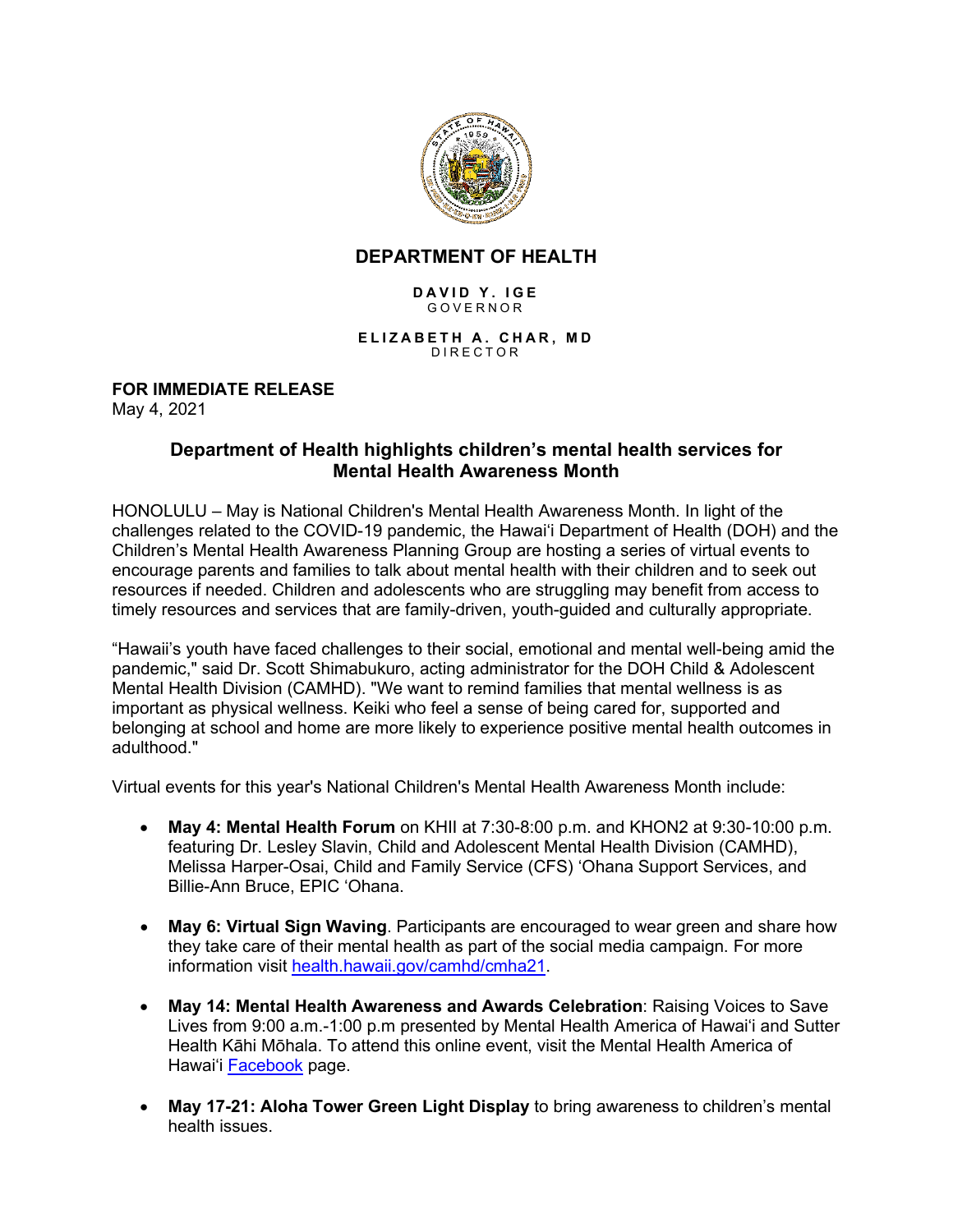

## **DEPARTMENT OF HEALTH**

## **DAVID Y. IGE** GOVERNOR

**ELIZABETH A. CHAR , M D** DIRECTOR

## **FOR IMMEDIATE RELEASE**

May 4, 2021

## **Department of Health highlights children's mental health services for Mental Health Awareness Month**

HONOLULU – May is National Children's Mental Health Awareness Month. In light of the challenges related to the COVID-19 pandemic, the Hawai'i Department of Health (DOH) and the Children's Mental Health Awareness Planning Group are hosting a series of virtual events to encourage parents and families to talk about mental health with their children and to seek out resources if needed. Children and adolescents who are struggling may benefit from access to timely resources and services that are family-driven, youth-guided and culturally appropriate.

"Hawaii's youth have faced challenges to their social, emotional and mental well-being amid the pandemic," said Dr. Scott Shimabukuro, acting administrator for the DOH Child & Adolescent Mental Health Division (CAMHD). "We want to remind families that mental wellness is as important as physical wellness. Keiki who feel a sense of being cared for, supported and belonging at school and home are more likely to experience positive mental health outcomes in adulthood."

Virtual events for this year's National Children's Mental Health Awareness Month include:

- **May 4: Mental Health Forum** on KHII at 7:30-8:00 p.m. and KHON2 at 9:30-10:00 p.m. featuring Dr. Lesley Slavin, Child and Adolescent Mental Health Division (CAMHD), Melissa Harper-Osai, Child and Family Service (CFS) 'Ohana Support Services, and Billie-Ann Bruce, EPIC 'Ohana.
- **May 6: Virtual Sign Waving**. Participants are encouraged to wear green and share how they take care of their mental health as part of the social media campaign. For more information visit [health.hawaii.gov/camhd/cmha21.](https://health.hawaii.gov/camhd/cmha21/)
- **May 14: Mental Health Awareness and Awards Celebration**: Raising Voices to Save Lives from 9:00 a.m.-1:00 p.m presented by Mental Health America of Hawai'i and Sutter Health Kāhi Mōhala. To attend this online event, visit the Mental Health America of Hawai'i [Facebook](https://www.facebook.com/events/2893570960860406) page.
- **May 17-21: Aloha Tower Green Light Display** to bring awareness to children's mental health issues.